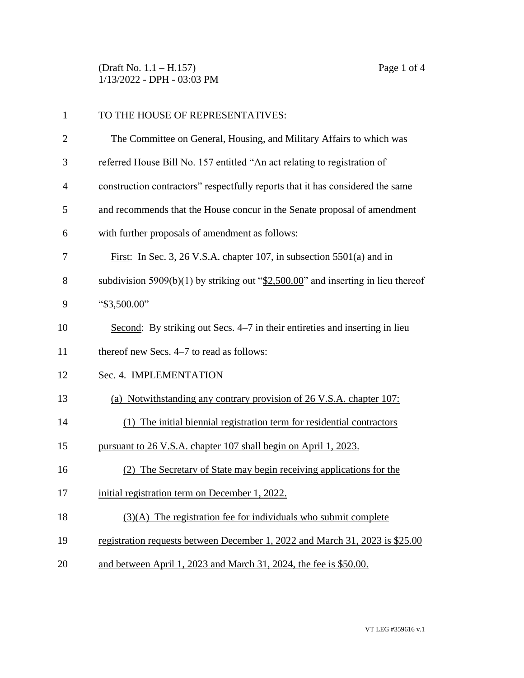(Draft No. 1.1 – H.157) Page 1 of 4 1/13/2022 - DPH - 03:03 PM

| $\mathbf{1}$   | TO THE HOUSE OF REPRESENTATIVES:                                                    |  |
|----------------|-------------------------------------------------------------------------------------|--|
| $\overline{2}$ | The Committee on General, Housing, and Military Affairs to which was                |  |
| 3              | referred House Bill No. 157 entitled "An act relating to registration of            |  |
| $\overline{4}$ | construction contractors" respectfully reports that it has considered the same      |  |
| 5              | and recommends that the House concur in the Senate proposal of amendment            |  |
| 6              | with further proposals of amendment as follows:                                     |  |
| 7              | First: In Sec. 3, 26 V.S.A. chapter 107, in subsection $5501(a)$ and in             |  |
| 8              | subdivision 5909(b)(1) by striking out " $2,500.00$ " and inserting in lieu thereof |  |
| 9              | " $$3,500.00"$                                                                      |  |
| 10             | Second: By striking out Secs. 4-7 in their entireties and inserting in lieu         |  |
| 11             | thereof new Secs. 4–7 to read as follows:                                           |  |
| 12             | Sec. 4. IMPLEMENTATION                                                              |  |
| 13             | (a) Notwithstanding any contrary provision of 26 V.S.A. chapter 107:                |  |
| 14             | (1) The initial biennial registration term for residential contractors              |  |
| 15             | pursuant to 26 V.S.A. chapter 107 shall begin on April 1, 2023.                     |  |
| 16             | (2) The Secretary of State may begin receiving applications for the                 |  |
| 17             | initial registration term on December 1, 2022.                                      |  |
| 18             | $(3)(A)$ The registration fee for individuals who submit complete                   |  |
| 19             | registration requests between December 1, 2022 and March 31, 2023 is \$25.00        |  |
| 20             | and between April 1, 2023 and March 31, 2024, the fee is \$50.00.                   |  |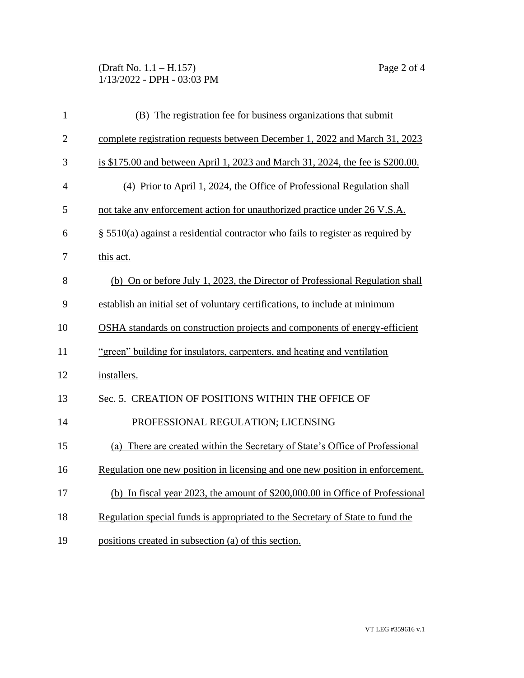(Draft No. 1.1 – H.157) Page 2 of 4 1/13/2022 - DPH - 03:03 PM

| $\mathbf{1}$   | (B) The registration fee for business organizations that submit                    |  |
|----------------|------------------------------------------------------------------------------------|--|
| $\overline{2}$ | complete registration requests between December 1, 2022 and March 31, 2023         |  |
| 3              | is \$175.00 and between April 1, 2023 and March 31, 2024, the fee is \$200.00.     |  |
| $\overline{4}$ | (4) Prior to April 1, 2024, the Office of Professional Regulation shall            |  |
| 5              | not take any enforcement action for unauthorized practice under 26 V.S.A.          |  |
| 6              | $\S$ 5510(a) against a residential contractor who fails to register as required by |  |
| 7              | this act.                                                                          |  |
| 8              | (b) On or before July 1, 2023, the Director of Professional Regulation shall       |  |
| 9              | establish an initial set of voluntary certifications, to include at minimum        |  |
| 10             | OSHA standards on construction projects and components of energy-efficient         |  |
| 11             | "green" building for insulators, carpenters, and heating and ventilation           |  |
| 12             | installers.                                                                        |  |
| 13             | Sec. 5. CREATION OF POSITIONS WITHIN THE OFFICE OF                                 |  |
| 14             | PROFESSIONAL REGULATION; LICENSING                                                 |  |
| 15             | (a) There are created within the Secretary of State's Office of Professional       |  |
| 16             | Regulation one new position in licensing and one new position in enforcement.      |  |
| 17             | (b) In fiscal year 2023, the amount of \$200,000.00 in Office of Professional      |  |
| 18             | Regulation special funds is appropriated to the Secretary of State to fund the     |  |
| 19             | positions created in subsection (a) of this section.                               |  |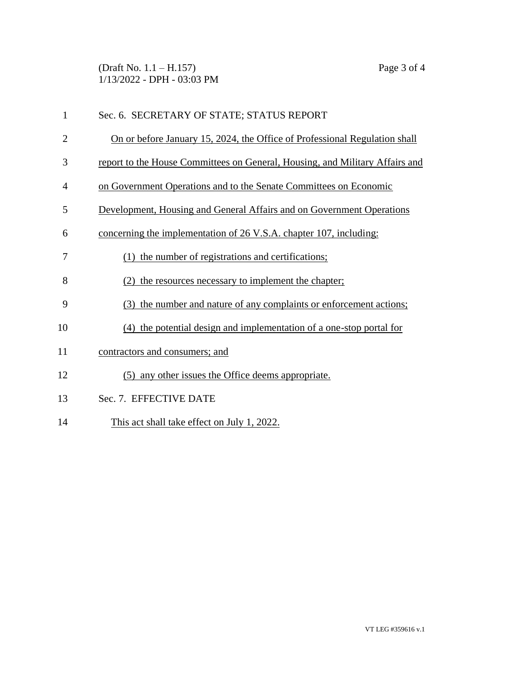(Draft No. 1.1 – H.157) Page 3 of 4 1/13/2022 - DPH - 03:03 PM

| $\mathbf{1}$   | Sec. 6. SECRETARY OF STATE; STATUS REPORT                                    |  |
|----------------|------------------------------------------------------------------------------|--|
| $\overline{2}$ | On or before January 15, 2024, the Office of Professional Regulation shall   |  |
| 3              | report to the House Committees on General, Housing, and Military Affairs and |  |
| 4              | on Government Operations and to the Senate Committees on Economic            |  |
| 5              | Development, Housing and General Affairs and on Government Operations        |  |
| 6              | concerning the implementation of 26 V.S.A. chapter 107, including:           |  |
| 7              | the number of registrations and certifications;                              |  |
| 8              | the resources necessary to implement the chapter;                            |  |
| 9              | the number and nature of any complaints or enforcement actions;<br>(3)       |  |
| 10             | the potential design and implementation of a one-stop portal for<br>(4)      |  |
| 11             | contractors and consumers; and                                               |  |
| 12             | (5) any other issues the Office deems appropriate.                           |  |
| 13             | Sec. 7. EFFECTIVE DATE                                                       |  |
| 14             | This act shall take effect on July 1, 2022.                                  |  |